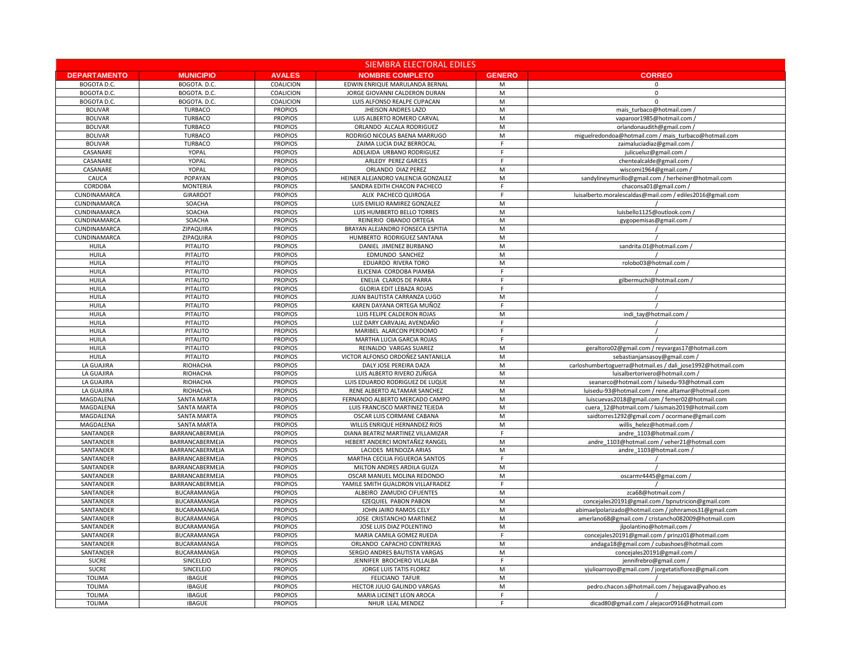|                          |                             | <b>SIEMBRA ELECTORAL EDILES</b>  |                                                                 |                |  |  |
|--------------------------|-----------------------------|----------------------------------|-----------------------------------------------------------------|----------------|--|--|
| <b>DEPARTAMENTO</b>      | <b>MUNICIPIO</b>            | <b>AVALES</b>                    | <b>NOMBRE COMPLETO</b>                                          | <b>GENERO</b>  |  |  |
| BOGOTA D.C.              | BOGOTA. D.C.                | <b>COALICION</b>                 | EDWIN ENRIQUE MARULANDA BERNAL                                  | М              |  |  |
| BOGOTA D.C.              | BOGOTA. D.C.                | COALICION                        | JORGE GIOVANNI CALDERON DURAN                                   | M              |  |  |
| <b>BOGOTA D.C.</b>       | BOGOTA. D.C.                | COALICION                        | LUIS ALFONSO REALPE CUPACAN                                     | M              |  |  |
| <b>BOLIVAR</b>           | <b>TURBACO</b>              | <b>PROPIOS</b>                   | <b>JHEISON ANDRES LAZO</b>                                      | ${\sf M}$      |  |  |
| <b>BOLIVAR</b>           | <b>TURBACO</b>              | <b>PROPIOS</b>                   | LUIS ALBERTO ROMERO CARVAL                                      | M              |  |  |
| <b>BOLIVAR</b>           | <b>TURBACO</b>              | <b>PROPIOS</b>                   | ORLANDO ALCALA RODRIGUEZ                                        | М              |  |  |
| <b>BOLIVAR</b>           | <b>TURBACO</b>              | <b>PROPIOS</b>                   | RODRIGO NICOLAS BAENA MARRUGO                                   | M              |  |  |
| <b>BOLIVAR</b>           | <b>TURBACO</b>              | <b>PROPIOS</b>                   | ZAIMA LUCIA DIAZ BERROCAL                                       | $\mathsf{F}$   |  |  |
| CASANARE                 | <b>YOPAL</b>                | <b>PROPIOS</b>                   | ADELAIDA URBANO RODRIGUEZ                                       | F              |  |  |
| CASANARE                 | <b>YOPAL</b>                | <b>PROPIOS</b>                   | ARLEDY PEREZ GARCES                                             | F              |  |  |
| CASANARE                 | <b>YOPAL</b>                | <b>PROPIOS</b>                   | ORLANDO DIAZ PEREZ                                              | M              |  |  |
| CAUCA                    | <b>POPAYAN</b>              | <b>PROPIOS</b>                   | HEINER ALEJANDRO VALENCIA GONZALEZ                              | ${\sf M}$      |  |  |
| <b>CORDOBA</b>           | <b>MONTERIA</b>             | <b>PROPIOS</b>                   | SANDRA EDITH CHACON PACHECO                                     | F              |  |  |
| CUNDINAMARCA             | <b>GIRARDOT</b>             | <b>PROPIOS</b>                   | ALIX PACHECO QUIROGA                                            | F              |  |  |
| CUNDINAMARCA             | SOACHA                      | <b>PROPIOS</b>                   | LUIS EMILIO RAMIREZ GONZALEZ                                    | ${\sf M}$      |  |  |
| CUNDINAMARCA             | SOACHA                      | <b>PROPIOS</b>                   | LUIS HUMBERTO BELLO TORRES                                      | M              |  |  |
| CUNDINAMARCA             | SOACHA                      | <b>PROPIOS</b>                   | REINERIO OBANDO ORTEGA                                          | M              |  |  |
| CUNDINAMARCA             | ZIPAQUIRA                   | <b>PROPIOS</b>                   | BRAYAN ALEJANDRO FONSECA ESPITIA                                | M              |  |  |
| CUNDINAMARCA             | ZIPAQUIRA                   | <b>PROPIOS</b>                   | HUMBERTO RODRIGUEZ SANTANA                                      | ${\sf M}$      |  |  |
| <b>HUILA</b>             | <b>PITALITO</b>             | <b>PROPIOS</b>                   | DANIEL JIMENEZ BURBANO                                          | М              |  |  |
| <b>HUILA</b>             | <b>PITALITO</b>             | <b>PROPIOS</b>                   | <b>EDMUNDO SANCHEZ</b>                                          | M              |  |  |
| <b>HUILA</b>             | <b>PITALITO</b>             | <b>PROPIOS</b>                   | EDUARDO RIVERA TORO                                             | ${\sf M}$      |  |  |
| <b>HUILA</b>             | <b>PITALITO</b>             | <b>PROPIOS</b>                   | ELICENIA CORDOBA PIAMBA                                         | F              |  |  |
| <b>HUILA</b>             | <b>PITALITO</b>             | <b>PROPIOS</b>                   | ENELIA CLAROS DE PARRA                                          | F              |  |  |
| <b>HUILA</b>             | <b>PITALITO</b>             | <b>PROPIOS</b>                   | <b>GLORIA EDIT LEBAZA ROJAS</b>                                 | F              |  |  |
| <b>HUILA</b>             | <b>PITALITO</b>             | <b>PROPIOS</b>                   | JUAN BAUTISTA CARRANZA LUGO                                     | ${\sf M}$      |  |  |
| <b>HUILA</b>             | <b>PITALITO</b>             | <b>PROPIOS</b>                   | KAREN DAYANA ORTEGA MUÑOZ                                       | F              |  |  |
| <b>HUILA</b>             | <b>PITALITO</b>             | <b>PROPIOS</b>                   | LUIS FELIPE CALDERON ROJAS                                      | M              |  |  |
| <b>HUILA</b>             | <b>PITALITO</b>             | <b>PROPIOS</b>                   | LUZ DARY CARVAJAL AVENDAÑO                                      | F              |  |  |
| <b>HUILA</b>             | <b>PITALITO</b>             | <b>PROPIOS</b>                   | MARIBEL ALARCON PERDOMO                                         | F              |  |  |
| <b>HUILA</b>             | <b>PITALITO</b>             | <b>PROPIOS</b>                   | MARTHA LUCIA GARCIA ROJAS                                       | F.             |  |  |
| <b>HUILA</b>             | <b>PITALITO</b>             | <b>PROPIOS</b>                   | REINALDO VARGAS SUAREZ                                          | М              |  |  |
| <b>HUILA</b>             | <b>PITALITO</b>             | <b>PROPIOS</b>                   | VICTOR ALFONSO ORDOÑEZ SANTANILLA                               | ${\sf M}$      |  |  |
| LA GUAJIRA               | <b>RIOHACHA</b>             | <b>PROPIOS</b>                   | DALY JOSE PEREIRA DAZA                                          | M              |  |  |
| LA GUAJIRA               | <b>RIOHACHA</b>             | <b>PROPIOS</b>                   | LUIS ALBERTO RIVERO ZUÑIGA                                      | М              |  |  |
| LA GUAJIRA<br>LA GUAJIRA | <b>RIOHACHA</b><br>RIOHACHA | <b>PROPIOS</b><br><b>PROPIOS</b> | LUIS EDUARDO RODRIGUEZ DE LUQUE<br>RENE ALBERTO ALTAMAR SANCHEZ | М<br>${\sf M}$ |  |  |
| MAGDALENA                | <b>SANTA MARTA</b>          | <b>PROPIOS</b>                   | FERNANDO ALBERTO MERCADO CAMPO                                  | M              |  |  |
| MAGDALENA                | SANTA MARTA                 | <b>PROPIOS</b>                   | LUIS FRANCISCO MARTINEZ TEJEDA                                  | М              |  |  |
| MAGDALENA                | <b>SANTA MARTA</b>          | <b>PROPIOS</b>                   | OSCAR LUIS CORMANE CABANA                                       | M              |  |  |
| MAGDALENA                | <b>SANTA MARTA</b>          | <b>PROPIOS</b>                   | WILLIS ENRIQUE HERNANDEZ RIOS                                   | M              |  |  |
| SANTANDER                | BARRANCABERMEJA             | <b>PROPIOS</b>                   | DIANA BEATRIZ MARTINEZ VILLAMIZAR                               | F              |  |  |
| SANTANDER                | BARRANCABERMEJA             | <b>PROPIOS</b>                   | HEBERT ANDERCI MONTAÑEZ RANGEL                                  | М              |  |  |
| SANTANDER                | BARRANCABERMEJA             | <b>PROPIOS</b>                   | LACIDES MENDOZA ARIAS                                           | ${\sf M}$      |  |  |
| SANTANDER                | BARRANCABERMEJA             | <b>PROPIOS</b>                   | MARTHA CECILIA FIGUEROA SANTOS                                  | F              |  |  |
| SANTANDER                | BARRANCABERMEJA             | <b>PROPIOS</b>                   | MILTON ANDRES ARDILA GUIZA                                      | М              |  |  |
| SANTANDER                | BARRANCABERMEJA             | <b>PROPIOS</b>                   | OSCAR MANUEL MOLINA REDONDO                                     | М              |  |  |
| SANTANDER                | BARRANCABERMEJA             | <b>PROPIOS</b>                   | YAMILE SMITH GUALDRON VILLAFRADEZ                               | F              |  |  |
| SANTANDER                | BUCARAMANGA                 | <b>PROPIOS</b>                   | ALBEIRO ZAMUDIO CIFUENTES                                       | M              |  |  |
| SANTANDER                | <b>BUCARAMANGA</b>          | <b>PROPIOS</b>                   | EZEQUIEL PABON PABON                                            | М              |  |  |
| SANTANDER                | BUCARAMANGA                 | <b>PROPIOS</b>                   | JOHN JAIRO RAMOS CELY                                           | M              |  |  |
| SANTANDER                | BUCARAMANGA                 | <b>PROPIOS</b>                   | JOSE CRISTANCHO MARTINEZ                                        | M              |  |  |
| SANTANDER                | <b>BUCARAMANGA</b>          | <b>PROPIOS</b>                   | JOSE LUIS DIAZ POLENTINO                                        | M              |  |  |
| SANTANDER                | <b>BUCARAMANGA</b>          | <b>PROPIOS</b>                   | MARIA CAMILA GOMEZ RUEDA                                        | F              |  |  |
| SANTANDER                | BUCARAMANGA                 | <b>PROPIOS</b>                   | ORLANDO CAPACHO CONTRERAS                                       | M              |  |  |
| SANTANDER                | BUCARAMANGA                 | <b>PROPIOS</b>                   | SERGIO ANDRES BAUTISTA VARGAS                                   | M              |  |  |
| <b>SUCRE</b>             | <b>SINCELEJO</b>            | <b>PROPIOS</b>                   | JENNIFER BROCHERO VILLALBA                                      | F              |  |  |
| <b>SUCRE</b>             | SINCELEJO                   | <b>PROPIOS</b>                   | <b>JORGE LUIS TATIS FLOREZ</b>                                  | М              |  |  |
| <b>TOLIMA</b>            | <b>IBAGUE</b>               | <b>PROPIOS</b>                   | <b>FELICIANO TAFUR</b>                                          | M              |  |  |
| <b>TOLIMA</b>            | <b>IBAGUE</b>               | <b>PROPIOS</b>                   | HECTOR JULIO GALINDO VARGAS                                     | М              |  |  |
| <b>TOLIMA</b>            | <b>IBAGUE</b>               | <b>PROPIOS</b>                   | MARIA LICENET LEON AROCA                                        | F              |  |  |
| <b>TOLIMA</b>            | <b>IBAGUE</b>               | <b>PROPIOS</b>                   | NHUR LEAL MENDEZ                                                | F              |  |  |

| <b>CORREO</b>                                               |
|-------------------------------------------------------------|
| 0                                                           |
| 0                                                           |
| Ω                                                           |
| mais_turbaco@hotmail.com/                                   |
| vaparoor1985@hotmail.com/                                   |
| orlandonaudith@gmail.com /                                  |
| miguelredondoa@hotmail.com / mais_turbaco@hotmail.com       |
| zaimaluciadiaz@gmail.com                                    |
| julicueluz@gmail.com /                                      |
| chentealcalde@gmail.com                                     |
| wiscomi1964@gmail.com /                                     |
| sandylineymurillo@gmail.com / herheiner@hotmail.com         |
| chaconsa01@gmail.com/                                       |
| luisalberto.moralescaldas@mail.com / ediles2016@gmail.com   |
|                                                             |
| luisbello1125@outlook.com /                                 |
| gygopemisas@gmail.com                                       |
|                                                             |
|                                                             |
| sandrita.01@hotmail.com/                                    |
|                                                             |
| rolobo03@hotmail.com /                                      |
|                                                             |
| gilbermuchi@hotmail.com                                     |
|                                                             |
|                                                             |
|                                                             |
| indi_tay@hotmail.com                                        |
|                                                             |
|                                                             |
|                                                             |
| geraltoro02@gmail.com / reyvargas17@hotmail.com             |
| sebastianjansasoy@gmail.com /                               |
| carloshumbertoguerra@hotmail.es / dali_jose1992@hotmail.com |
| luisalbertorivero@hotmail.com /                             |
| seanarco@hotmail.com / luisedu-93@hotmail.com               |
| luisedu-93@hotmail.com / rene.altamar@hotmail.com           |
| luiscuevas2018@gmail.com / femer02@hotmail.com              |
| cuera_12@hotmail.com / luismais2019@hotmail.com             |
| saidtorres1292@gmail.com / ocormane@gmail.com               |
| willis_helez@hotmail.com /                                  |
| andre_1103@hotmail.com                                      |
| andre_1103@hotmail.com / veher21@hotmail.com                |
| andre_1103@hotmail.com /                                    |
|                                                             |
|                                                             |
| oscarmr4445@gmai.com                                        |
|                                                             |
| zca68@hotmail.com /                                         |
| concejales20191@gmail.com / bpnutricion@gmail.com           |
| abimaelpolarizado@hotmail.com / johnramos31@gmail.com       |
| amerlano68@gmail.com / cristancho082009@hotmail.com         |
| jlpolantino@hotmail.com /                                   |
| concejales20191@gmail.com / prinzz01@hotmail.com            |
| andaga18@gmail.com / cubashoes@hotmail.com                  |
| concejales20191@gmail.com /                                 |
| jennifrebro@gmail.com /                                     |
| yjulioarroyo@gmail.com / jorgetatisflorez@gmail.com         |
|                                                             |
| pedro.chacon.s@hotmail.com / hejugava@yahoo.es              |
|                                                             |
| dicad80@gmail.com / alejacor0916@hotmail.com                |